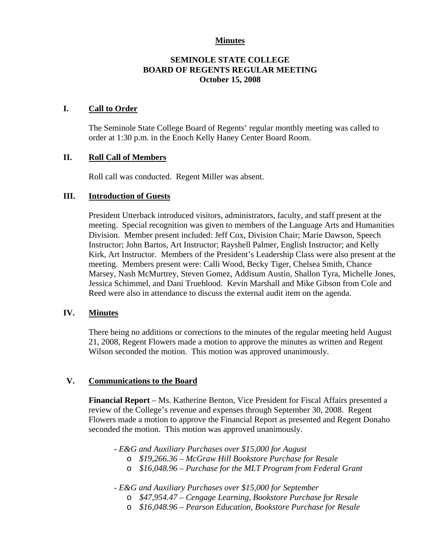### **Minutes**

### **SEMINOLE STATE COLLEGE BOARD OF REGENTS REGULAR MEETING October 15, 2008**

#### **I. Call to Order**

The Seminole State College Board of Regents' regular monthly meeting was called to order at 1:30 p.m. in the Enoch Kelly Haney Center Board Room.

### **II. Roll Call of Members**

Roll call was conducted. Regent Miller was absent.

#### **III. Introduction of Guests**

President Utterback introduced visitors, administrators, faculty, and staff present at the meeting. Special recognition was given to members of the Language Arts and Humanities Division. Member present included: Jeff Cox, Division Chair; Marie Dawson, Speech Instructor; John Bartos, Art Instructor; Rayshell Palmer, English Instructor; and Kelly Kirk, Art Instructor. Members of the President's Leadership Class were also present at the meeting. Members present were: Calli Wood, Becky Tiger, Chelsea Smith, Chance Marsey, Nash McMurtrey, Steven Gomez, Addisum Austin, Shallon Tyra, Michelle Jones, Jessica Schimmel, and Dani Trueblood. Kevin Marshall and Mike Gibson from Cole and Reed were also in attendance to discuss the external audit item on the agenda.

#### **IV. Minutes**

There being no additions or corrections to the minutes of the regular meeting held August 21, 2008, Regent Flowers made a motion to approve the minutes as written and Regent Wilson seconded the motion. This motion was approved unanimously.

#### **V. Communications to the Board**

**Financial Report** – Ms. Katherine Benton, Vice President for Fiscal Affairs presented a review of the College's revenue and expenses through September 30, 2008. Regent Flowers made a motion to approve the Financial Report as presented and Regent Donaho seconded the motion. This motion was approved unanimously.

*- E&G and Auxiliary Purchases over \$15,000 for August* 

- o *\$19,266.36 McGraw Hill Bookstore Purchase for Resale*
- o *\$16,048.96 Purchase for the MLT Program from Federal Grant*

*- E&G and Auxiliary Purchases over \$15,000 for September* 

- o *\$47,954.47 Cengage Learning, Bookstore Purchase for Resale*
- o *\$16,048.96 Pearson Education, Bookstore Purchase for Resale*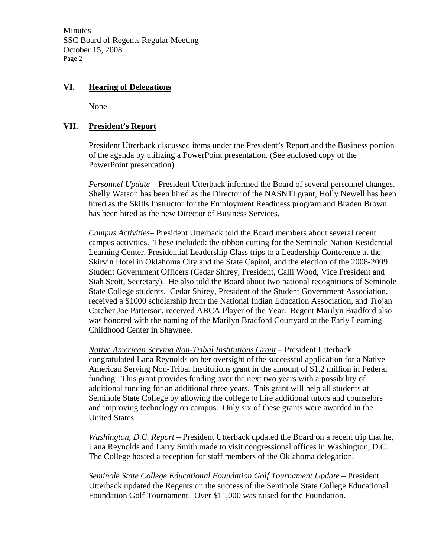Minutes SSC Board of Regents Regular Meeting October 15, 2008 Page 2

## **VI. Hearing of Delegations**

None

## **VII. President's Report**

President Utterback discussed items under the President's Report and the Business portion of the agenda by utilizing a PowerPoint presentation. (See enclosed copy of the PowerPoint presentation)

*Personnel Update* – President Utterback informed the Board of several personnel changes. Shelly Watson has been hired as the Director of the NASNTI grant, Holly Newell has been hired as the Skills Instructor for the Employment Readiness program and Braden Brown has been hired as the new Director of Business Services.

*Campus Activities*– President Utterback told the Board members about several recent campus activities. These included: the ribbon cutting for the Seminole Nation Residential Learning Center, Presidential Leadership Class trips to a Leadership Conference at the Skirvin Hotel in Oklahoma City and the State Capitol, and the election of the 2008-2009 Student Government Officers (Cedar Shirey, President, Calli Wood, Vice President and Siah Scott, Secretary). He also told the Board about two national recognitions of Seminole State College students. Cedar Shirey, President of the Student Government Association, received a \$1000 scholarship from the National Indian Education Association, and Trojan Catcher Joe Patterson, received ABCA Player of the Year. Regent Marilyn Bradford also was honored with the naming of the Marilyn Bradford Courtyard at the Early Learning Childhood Center in Shawnee.

*Native American Serving Non-Tribal Institutions Grant* – President Utterback congratulated Lana Reynolds on her oversight of the successful application for a Native American Serving Non-Tribal Institutions grant in the amount of \$1.2 million in Federal funding. This grant provides funding over the next two years with a possibility of additional funding for an additional three years. This grant will help all students at Seminole State College by allowing the college to hire additional tutors and counselors and improving technology on campus. Only six of these grants were awarded in the United States.

*Washington, D.C. Report* – President Utterback updated the Board on a recent trip that he, Lana Reynolds and Larry Smith made to visit congressional offices in Washington, D.C. The College hosted a reception for staff members of the Oklahoma delegation.

*Seminole State College Educational Foundation Golf Tournament Update* – President Utterback updated the Regents on the success of the Seminole State College Educational Foundation Golf Tournament. Over \$11,000 was raised for the Foundation.